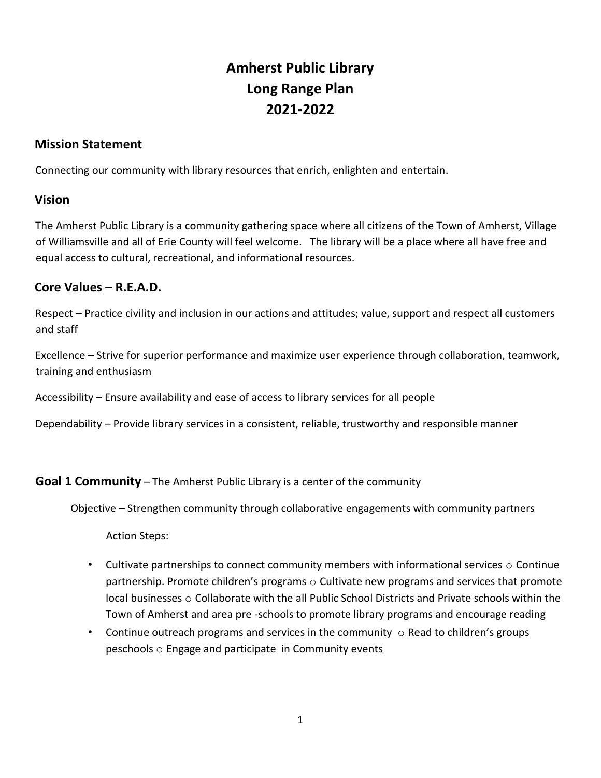# **Amherst Public Library Long Range Plan 2021-2022**

# **Mission Statement**

Connecting our community with library resources that enrich, enlighten and entertain.

## **Vision**

The Amherst Public Library is a community gathering space where all citizens of the Town of Amherst, Village of Williamsville and all of Erie County will feel welcome. The library will be a place where all have free and equal access to cultural, recreational, and informational resources.

# **Core Values – R.E.A.D.**

Respect – Practice civility and inclusion in our actions and attitudes; value, support and respect all customers and staff

Excellence – Strive for superior performance and maximize user experience through collaboration, teamwork, training and enthusiasm

Accessibility – Ensure availability and ease of access to library services for all people

Dependability – Provide library services in a consistent, reliable, trustworthy and responsible manner

# **Goal 1 Community** – The Amherst Public Library is a center of the community

Objective – Strengthen community through collaborative engagements with community partners

Action Steps:

- Cultivate partnerships to connect community members with informational services  $\circ$  Continue partnership. Promote children's programs o Cultivate new programs and services that promote local businesses o Collaborate with the all Public School Districts and Private schools within the Town of Amherst and area pre -schools to promote library programs and encourage reading
- Continue outreach programs and services in the community  $\circ$  Read to children's groups peschools o Engage and participate in Community events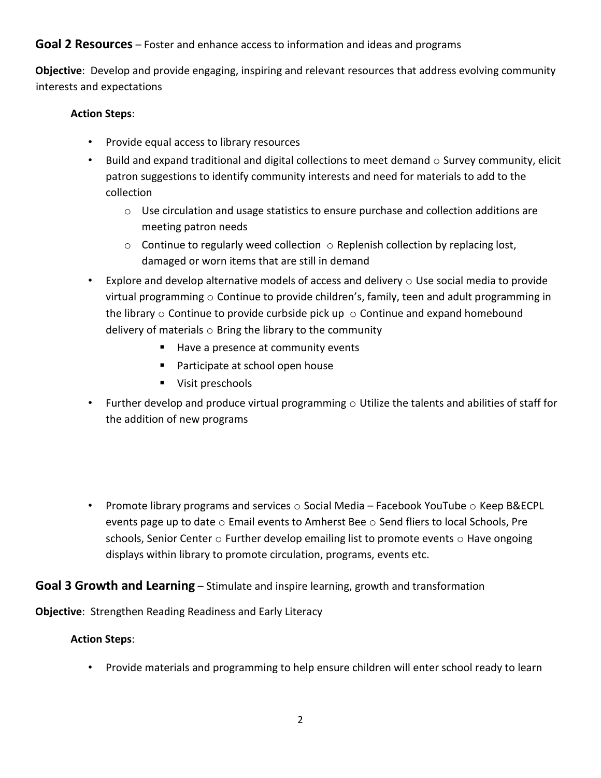# **Goal 2 Resources** – Foster and enhance access to information and ideas and programs

**Objective**: Develop and provide engaging, inspiring and relevant resources that address evolving community interests and expectations

### **Action Steps**:

- Provide equal access to library resources
- Build and expand traditional and digital collections to meet demand  $\circ$  Survey community, elicit patron suggestions to identify community interests and need for materials to add to the collection
	- o Use circulation and usage statistics to ensure purchase and collection additions are meeting patron needs
	- $\circ$  Continue to regularly weed collection  $\circ$  Replenish collection by replacing lost, damaged or worn items that are still in demand
- Explore and develop alternative models of access and delivery  $\circ$  Use social media to provide virtual programming  $\circ$  Continue to provide children's, family, teen and adult programming in the library  $\circ$  Continue to provide curbside pick up  $\circ$  Continue and expand homebound delivery of materials  $\circ$  Bring the library to the community
	- Have a presence at community events
	- Participate at school open house
	- **Visit preschools**
- Further develop and produce virtual programming  $\circ$  Utilize the talents and abilities of staff for the addition of new programs
- Promote library programs and services  $\circ$  Social Media Facebook YouTube  $\circ$  Keep B&ECPL events page up to date  $\circ$  Email events to Amherst Bee  $\circ$  Send fliers to local Schools, Pre schools, Senior Center  $\circ$  Further develop emailing list to promote events  $\circ$  Have ongoing displays within library to promote circulation, programs, events etc.

# **Goal 3 Growth and Learning** – Stimulate and inspire learning, growth and transformation

**Objective**: Strengthen Reading Readiness and Early Literacy

### **Action Steps**:

• Provide materials and programming to help ensure children will enter school ready to learn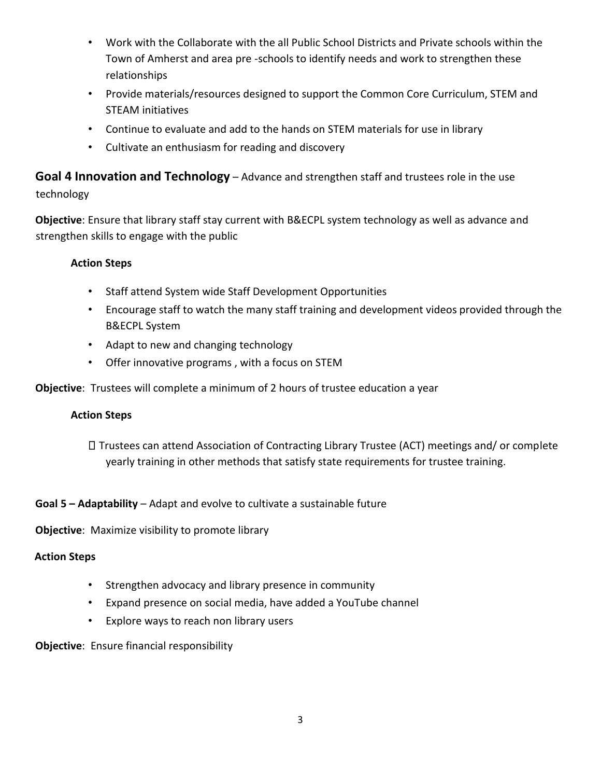- Work with the Collaborate with the all Public School Districts and Private schools within the Town of Amherst and area pre -schools to identify needs and work to strengthen these relationships
- Provide materials/resources designed to support the Common Core Curriculum, STEM and STEAM initiatives
- Continue to evaluate and add to the hands on STEM materials for use in library
- Cultivate an enthusiasm for reading and discovery

# **Goal 4 Innovation and Technology** – Advance and strengthen staff and trustees role in the use technology

**Objective**: Ensure that library staff stay current with B&ECPL system technology as well as advance and strengthen skills to engage with the public

## **Action Steps**

- Staff attend System wide Staff Development Opportunities
- Encourage staff to watch the many staff training and development videos provided through the B&ECPL System
- Adapt to new and changing technology
- Offer innovative programs , with a focus on STEM

**Objective**: Trustees will complete a minimum of 2 hours of trustee education a year

### **Action Steps**

Trustees can attend Association of Contracting Library Trustee (ACT) meetings and/ or complete yearly training in other methods that satisfy state requirements for trustee training.

# **Goal 5 – Adaptability** – Adapt and evolve to cultivate a sustainable future

**Objective**: Maximize visibility to promote library

### **Action Steps**

- Strengthen advocacy and library presence in community
- Expand presence on social media, have added a YouTube channel
- Explore ways to reach non library users

**Objective**: Ensure financial responsibility